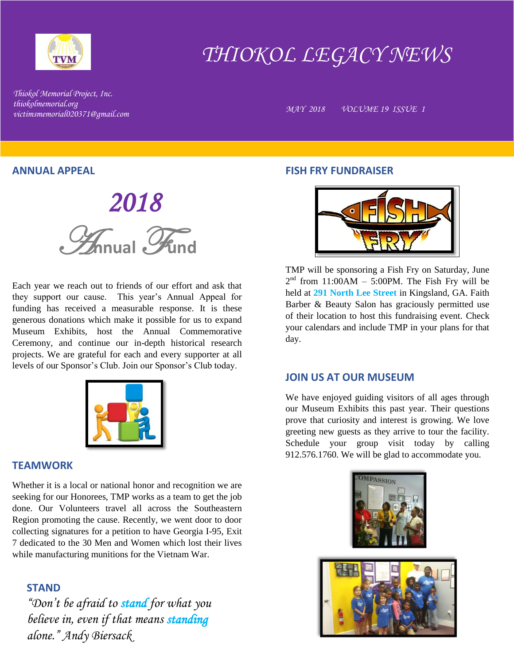

# *THIOKOL LEGACY NEWS*

*Thiokol Memorial Project, Inc. thiokolmemorial.org victimsmemorial020371@gmail.com MAY 2018 VOLUME 19 ISSUE 1*

#### **ANNUAL APPEAL**

 *2018*  A**nnual** F**und**

Each year we reach out to friends of our effort and ask that they support our cause. This year's Annual Appeal for funding has received a measurable response. It is these generous donations which make it possible for us to expand Museum Exhibits, host the Annual Commemorative Ceremony, and continue our in-depth historical research projects. We are grateful for each and every supporter at all levels of our Sponsor's Club. Join our Sponsor's Club today.



## **TEAMWORK**

Whether it is a local or national honor and recognition we are seeking for our Honorees, TMP works as a team to get the job done. Our Volunteers travel all across the Southeastern Region promoting the cause. Recently, we went door to door collecting signatures for a petition to have Georgia I-95, Exit 7 dedicated to the 30 Men and Women which lost their lives while manufacturing munitions for the Vietnam War.

# **STAND**

*"Don't be afraid to stand for what you believe in, even if that means standing alone." Andy Biersack*

## **FISH FRY FUNDRAISER**



TMP will be sponsoring a Fish Fry on Saturday, June  $2<sup>nd</sup>$  from 11:00AM – 5:00PM. The Fish Fry will be held at **291 North Lee Street** in Kingsland, GA. Faith Barber & Beauty Salon has graciously permitted use of their location to host this fundraising event. Check your calendars and include TMP in your plans for that day.

#### **JOIN US AT OUR MUSEUM**

We have enjoyed guiding visitors of all ages through our Museum Exhibits this past year. Their questions prove that curiosity and interest is growing. We love greeting new guests as they arrive to tour the facility. Schedule your group visit today by calling 912.576.1760. We will be glad to accommodate you.